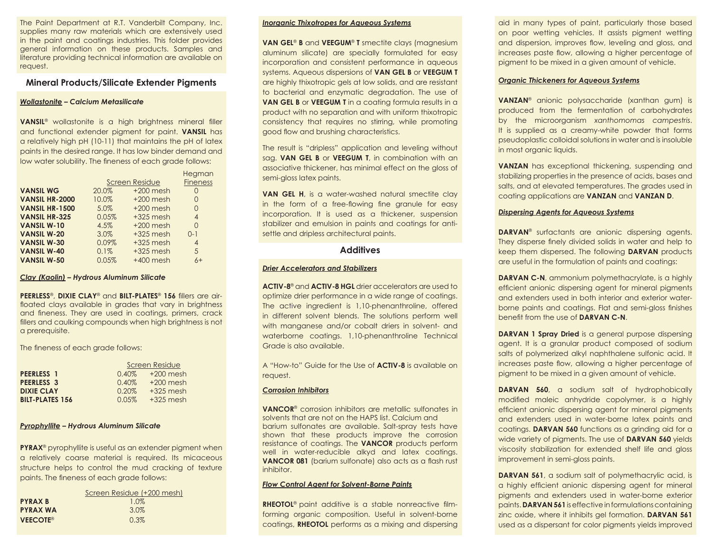The Paint Department at R.T. Vanderbilt Company, Inc. supplies many raw materials which are extensively used in the paint and coatings industries. This folder provides general information on these products. Samples and literature providing technical information are available on request.

# **Mineral Products/Silicate Extender Pigments**

### *Wollastonite – Calcium Metasilicate*

**VANSIL<sup>®</sup>** wollastonite is a high brightness mineral filler and functional extender pigment for paint. **VANSIL** has a relatively high pH (10-11) that maintains the pH of latex paints in the desired range. It has low binder demand and low water solubility. The fineness of each grade follows:

|                       |                       |             | Hegman          |
|-----------------------|-----------------------|-------------|-----------------|
|                       | <b>Screen Residue</b> |             | <b>Fineness</b> |
| <b>VANSIL WG</b>      | 20.0%                 | $+200$ mesh | 0               |
| <b>VANSIL HR-2000</b> | 10.0%                 | $+200$ mesh | $\Omega$        |
| <b>VANSIL HR-1500</b> | 5.0%                  | $+200$ mesh | $\Omega$        |
| <b>VANSIL HR-325</b>  | 0.05%                 | $+325$ mesh | 4               |
| <b>VANSIL W-10</b>    | 4.5%                  | $+200$ mesh | $\Omega$        |
| <b>VANSIL W-20</b>    | 3.0%                  | $+325$ mesh | $O-1$           |
| <b>VANSIL W-30</b>    | 0.09%                 | $+325$ mesh | 4               |
| <b>VANSIL W-40</b>    | 0.1%                  | $+325$ mesh | 5               |
| <b>VANSIL W-50</b>    | 0.05%                 | $+400$ mesh | $6+$            |

#### *Clay (Kaolin) – Hydrous Aluminum Silicate*

**PEERLESS<sup>®</sup>, DIXIE CLAY<sup>®</sup> and BILT-PLATES<sup>®</sup> 156 fillers are air**floated clays available in grades that vary in brightness and fineness. They are used in coatings, primers, crack fillers and caulking compounds when high brightness is not a prerequisite.

The fineness of each grade follows:

|                        | Screen Residue |             |  |
|------------------------|----------------|-------------|--|
| PEERLESS <sub>1</sub>  | $0.40\%$       | $+200$ mesh |  |
| PEERLESS <sub>3</sub>  | 0.40%          | $+200$ mesh |  |
| <b>DIXIE CLAY</b>      | 0.20%          | $+325$ mesh |  |
| <b>BILT-PLATES 156</b> | 0.05%          | $+325$ mesh |  |

### *Pyrophyllite – Hydrous Aluminum Silicate*

**PYRAX**® pyrophyllite is useful as an extender pigment when a relatively coarse material is required. Its micaceous structure helps to control the mud cracking of texture paints. The fineness of each grade follows:

|                 | Screen Residue (+200 mesh) |
|-----------------|----------------------------|
| <b>PYRAX B</b>  | 1.0%                       |
| <b>PYRAX WA</b> | $3.0\%$                    |
| <b>VEECOTE®</b> | $0.3\%$                    |

#### *Inorganic Thixotropes for Aqueous Systems*

**VAN GEL**® **B** and **VEEGUM**® **T** smectite clays (magnesium aluminum silicate) are specially formulated for easy incorporation and consistent performance in aqueous systems. Aqueous dispersions of **VAN GEL B** or **VEEGUM T** are highly thixotropic gels at low solids, and are resistant to bacterial and enzymatic degradation. The use of **VAN GEL B** or **VEEGUM T** in a coating formula results in a product with no separation and with uniform thixotropic consistency that requires no stirring, while promoting good flow and brushing characteristics.

The result is "dripless" application and leveling without sag. **VAN GEL B** or **VEEGUM T**, in combination with an associative thickener, has minimal effect on the gloss of semi-gloss latex paints.

**VAN GEL H**, is a water-washed natural smectite clay in the form of a free-flowing fine granule for easy incorporation. It is used as a thickener, suspension stabilizer and emulsion in paints and coatings for antisettle and dripless architectural paints.

### **Additives**

#### *Drier Accelerators and Stabilizers*

**ACTIV-8**® and **ACTIV-8 HGL** drier accelerators are used to optimize drier performance in a wide range of coatings. The active ingredient is 1,10-phenanthroline, offered in different solvent blends. The solutions perform well with manganese and/or cobalt driers in solvent- and waterborne coatings. 1,10-phenanthroline Technical Grade is also available.

A "How-to" Guide for the Use of **ACTIV-8** is available on request.

### *Corrosion Inhibitors*

**VANCOR**® corrosion inhibitors are metallic sulfonates in solvents that are not on the HAPS list. Calcium and barium sulfonates are available. Salt-spray tests have shown that these products improve the corrosion resistance of coatings. The **VANCOR** products perform well in water-reducible alkyd and latex coatings. **VANCOR 081** (barium sulfonate) also acts as a flash rust inhibitor.

#### *Flow Control Agent for Solvent-Borne Paints*

**RHEOTOL<sup>®</sup>** paint additive is a stable nonreactive filmforming organic composition. Useful in solvent-borne coatings, **RHEOTOL** performs as a mixing and dispersing

aid in many types of paint, particularly those based on poor wetting vehicles. It assists pigment wetting and dispersion, improves flow, leveling and gloss, and increases paste flow, allowing a higher percentage of pigment to be mixed in a given amount of vehicle.

#### *Organic Thickeners for Aqueous Systems*

**VANZAN**® anionic polysaccharide (xanthan gum) is produced from the fermentation of carbohydrates by the microorganism *xanthomomas campestris*. It is supplied as a creamy-white powder that forms pseudoplastic colloidal solutions in water and is insoluble in most organic liquids.

**VANZAN** has exceptional thickening, suspending and stabilizing properties in the presence of acids, bases and salts, and at elevated temperatures. The grades used in coating applications are **VANZAN** and **VANZAN D**.

#### *Dispersing Agents for Aqueous Systems*

**DARVAN**® surfactants are anionic dispersing agents. They disperse finely divided solids in water and help to keep them dispersed. The following **DARVAN** products are useful in the formulation of paints and coatings:

**DARVAN C-N**, ammonium polymethacrylate, is a highly efficient anionic dispersing agent for mineral pigments and extenders used in both interior and exterior waterborne paints and coatings. Flat and semi-gloss finishes benefit from the use of **DARVAN C-N.** 

**DARVAN 1 Spray Dried** is a general purpose dispersing agent. It is a granular product composed of sodium salts of polymerized alkyl naphthalene sulfonic acid. It increases paste flow, allowing a higher percentage of pigment to be mixed in a given amount of vehicle.

**DARVAN 560**, a sodium salt of hydrophobically modified maleic anhydride copolymer, is a highly efficient anionic dispersing agent for mineral pigments and extenders used in water-borne latex paints and coatings. **DARVAN 560** functions as a grinding aid for a wide variety of pigments. The use of **DARVAN 560** yields viscosity stabilization for extended shelf life and gloss improvement in semi-gloss paints.

**DARVAN 561**, a sodium salt of polymethacrylic acid, is a highly efficient anionic dispersing agent for mineral pigments and extenders used in water-borne exterior paints. **DARVAN 561** is effective in formulations containing zinc oxide, where it inhibits gel formation. **DARVAN 561** used as a dispersant for color pigments yields improved